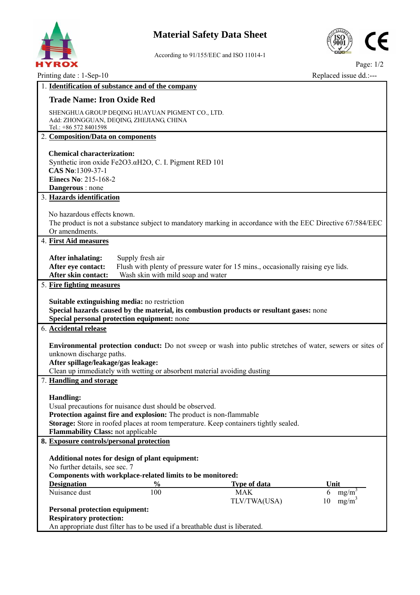

## **Material Safety Data Sheet**



According to 91/155/EEC and ISO 11014-1

Page: 1/2 Printing date : 1-Sep-10 Replaced issue dd.:---

| 1. Identification of substance and of the company                                                               |                                                                                                                                  |  |  |  |  |  |  |  |
|-----------------------------------------------------------------------------------------------------------------|----------------------------------------------------------------------------------------------------------------------------------|--|--|--|--|--|--|--|
|                                                                                                                 |                                                                                                                                  |  |  |  |  |  |  |  |
| <b>Trade Name: Iron Oxide Red</b>                                                                               |                                                                                                                                  |  |  |  |  |  |  |  |
| SHENGHUA GROUP DEQING HUAYUAN PIGMENT CO., LTD.                                                                 |                                                                                                                                  |  |  |  |  |  |  |  |
| Add: ZHONGGUAN, DEQING, ZHEJIANG, CHINA                                                                         |                                                                                                                                  |  |  |  |  |  |  |  |
| Tel.: +86 572 8401598                                                                                           |                                                                                                                                  |  |  |  |  |  |  |  |
| 2. Composition/Data on components                                                                               |                                                                                                                                  |  |  |  |  |  |  |  |
| <b>Chemical characterization:</b>                                                                               |                                                                                                                                  |  |  |  |  |  |  |  |
| Synthetic iron oxide Fe2O3.αH2O, C. I. Pigment RED 101                                                          |                                                                                                                                  |  |  |  |  |  |  |  |
| CAS No:1309-37-1                                                                                                |                                                                                                                                  |  |  |  |  |  |  |  |
| Einecs No: 215-168-2                                                                                            |                                                                                                                                  |  |  |  |  |  |  |  |
| Dangerous : none                                                                                                |                                                                                                                                  |  |  |  |  |  |  |  |
| 3. Hazards identification                                                                                       |                                                                                                                                  |  |  |  |  |  |  |  |
|                                                                                                                 |                                                                                                                                  |  |  |  |  |  |  |  |
| No hazardous effects known.                                                                                     |                                                                                                                                  |  |  |  |  |  |  |  |
| The product is not a substance subject to mandatory marking in accordance with the EEC Directive 67/584/EEC     |                                                                                                                                  |  |  |  |  |  |  |  |
| Or amendments.                                                                                                  |                                                                                                                                  |  |  |  |  |  |  |  |
| 4. First Aid measures                                                                                           |                                                                                                                                  |  |  |  |  |  |  |  |
|                                                                                                                 |                                                                                                                                  |  |  |  |  |  |  |  |
| After eye contact:                                                                                              | Supply fresh air<br><b>After inhalating:</b><br>Flush with plenty of pressure water for 15 mins., occasionally raising eye lids. |  |  |  |  |  |  |  |
| After skin contact:<br>Wash skin with mild soap and water                                                       |                                                                                                                                  |  |  |  |  |  |  |  |
| 5. Fire fighting measures                                                                                       |                                                                                                                                  |  |  |  |  |  |  |  |
|                                                                                                                 |                                                                                                                                  |  |  |  |  |  |  |  |
| <b>Suitable extinguishing media:</b> no restriction                                                             |                                                                                                                                  |  |  |  |  |  |  |  |
|                                                                                                                 | Special hazards caused by the material, its combustion products or resultant gases: none                                         |  |  |  |  |  |  |  |
| Special personal protection equipment: none                                                                     |                                                                                                                                  |  |  |  |  |  |  |  |
| 6. Accidental release                                                                                           |                                                                                                                                  |  |  |  |  |  |  |  |
|                                                                                                                 |                                                                                                                                  |  |  |  |  |  |  |  |
|                                                                                                                 | <b>Environmental protection conduct:</b> Do not sweep or wash into public stretches of water, sewers or sites of                 |  |  |  |  |  |  |  |
| unknown discharge paths.                                                                                        |                                                                                                                                  |  |  |  |  |  |  |  |
| After spillage/leakage/gas leakage:<br>Clean up immediately with wetting or absorbent material avoiding dusting |                                                                                                                                  |  |  |  |  |  |  |  |
|                                                                                                                 |                                                                                                                                  |  |  |  |  |  |  |  |
| 7. Handling and storage                                                                                         |                                                                                                                                  |  |  |  |  |  |  |  |
| <b>Handling:</b>                                                                                                |                                                                                                                                  |  |  |  |  |  |  |  |
| Usual precautions for nuisance dust should be observed.                                                         |                                                                                                                                  |  |  |  |  |  |  |  |
| Protection against fire and explosion: The product is non-flammable                                             |                                                                                                                                  |  |  |  |  |  |  |  |
| Storage: Store in roofed places at room temperature. Keep containers tightly sealed.                            |                                                                                                                                  |  |  |  |  |  |  |  |
| <b>Flammability Class: not applicable</b>                                                                       |                                                                                                                                  |  |  |  |  |  |  |  |
| 8. Exposure controls/personal protection                                                                        |                                                                                                                                  |  |  |  |  |  |  |  |
|                                                                                                                 |                                                                                                                                  |  |  |  |  |  |  |  |
| Additional notes for design of plant equipment:                                                                 |                                                                                                                                  |  |  |  |  |  |  |  |
|                                                                                                                 |                                                                                                                                  |  |  |  |  |  |  |  |
| No further details, see sec. 7                                                                                  |                                                                                                                                  |  |  |  |  |  |  |  |
| Components with workplace-related limits to be monitored:                                                       |                                                                                                                                  |  |  |  |  |  |  |  |
| <b>Designation</b><br>$\frac{0}{0}$                                                                             | <b>Type of data</b><br>Unit                                                                                                      |  |  |  |  |  |  |  |
| Nuisance dust<br>100                                                                                            | <b>MAK</b><br>$6$ mg/m                                                                                                           |  |  |  |  |  |  |  |
|                                                                                                                 | 10<br>$mg/m^3$<br>TLV/TWA(USA)                                                                                                   |  |  |  |  |  |  |  |
| <b>Personal protection equipment:</b><br><b>Respiratory protection:</b>                                         |                                                                                                                                  |  |  |  |  |  |  |  |